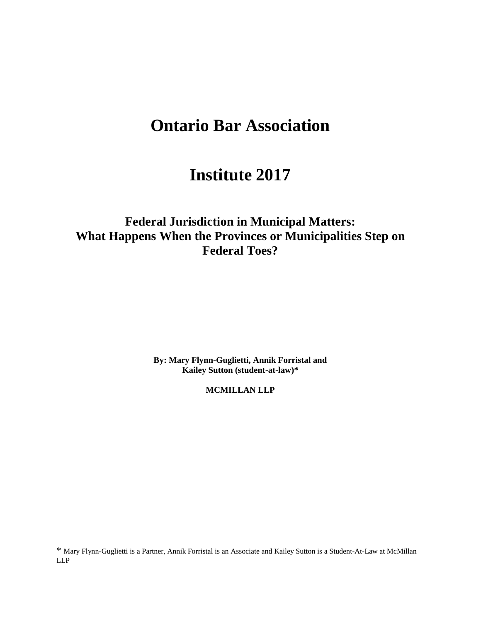# **Ontario Bar Association**

# **Institute 2017**

**Federal Jurisdiction in Municipal Matters: What Happens When the Provinces or Municipalities Step on Federal Toes?**

> **By: Mary Flynn-Guglietti, Annik Forristal and Kailey Sutton (student-at-law)\***

> > **MCMILLAN LLP**

\* Mary Flynn-Guglietti is a Partner, Annik Forristal is an Associate and Kailey Sutton is a Student-At-Law at McMillan LLP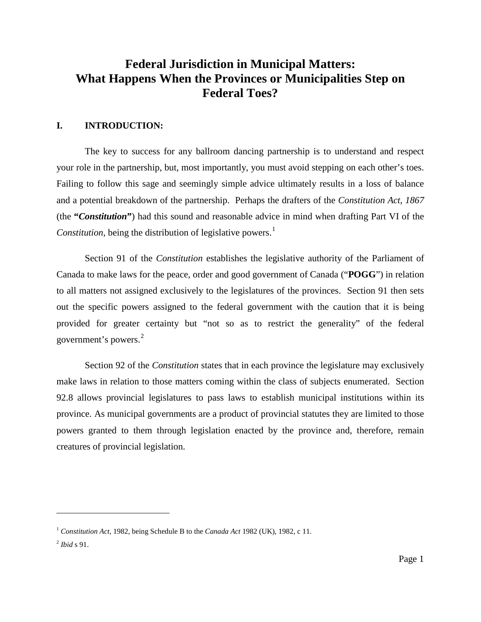## **Federal Jurisdiction in Municipal Matters: What Happens When the Provinces or Municipalities Step on Federal Toes?**

#### **I. INTRODUCTION:**

The key to success for any ballroom dancing partnership is to understand and respect your role in the partnership, but, most importantly, you must avoid stepping on each other's toes. Failing to follow this sage and seemingly simple advice ultimately results in a loss of balance and a potential breakdown of the partnership. Perhaps the drafters of the *Constitution Act, 1867* (the **"***Constitution***"**) had this sound and reasonable advice in mind when drafting Part VI of the *Constitution*, being the distribution of legislative powers. [1](#page-1-0)

<span id="page-1-2"></span>Section 91 of the *Constitution* establishes the legislative authority of the Parliament of Canada to make laws for the peace, order and good government of Canada ("**POGG**") in relation to all matters not assigned exclusively to the legislatures of the provinces. Section 91 then sets out the specific powers assigned to the federal government with the caution that it is being provided for greater certainty but "not so as to restrict the generality" of the federal government's powers. [2](#page-1-1)

Section 92 of the *Constitution* states that in each province the legislature may exclusively make laws in relation to those matters coming within the class of subjects enumerated. Section 92.8 allows provincial legislatures to pass laws to establish municipal institutions within its province. As municipal governments are a product of provincial statutes they are limited to those powers granted to them through legislation enacted by the province and, therefore, remain creatures of provincial legislation.

<span id="page-1-0"></span><sup>1</sup> *Constitution Act*, 1982, being Schedule B to the *Canada Act* 1982 (UK), 1982, c 11*.*

<span id="page-1-1"></span><sup>2</sup> *Ibid* s 91.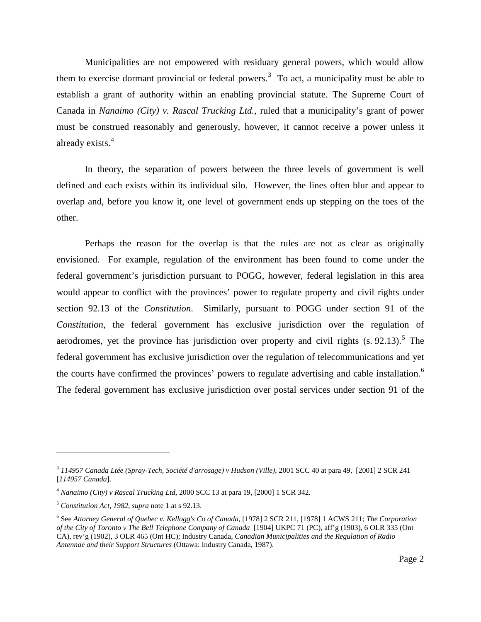<span id="page-2-4"></span>Municipalities are not empowered with residuary general powers, which would allow them to exercise dormant provincial or federal powers.<sup>[3](#page-2-0)</sup> To act, a municipality must be able to establish a grant of authority within an enabling provincial statute. The Supreme Court of Canada in *Nanaimo (City) v. Rascal Trucking Ltd.,* ruled that a municipality's grant of power must be construed reasonably and generously, however, it cannot receive a power unless it already exists.[4](#page-2-1)

In theory, the separation of powers between the three levels of government is well defined and each exists within its individual silo. However, the lines often blur and appear to overlap and, before you know it, one level of government ends up stepping on the toes of the other.

Perhaps the reason for the overlap is that the rules are not as clear as originally envisioned. For example, regulation of the environment has been found to come under the federal government's jurisdiction pursuant to POGG, however, federal legislation in this area would appear to conflict with the provinces' power to regulate property and civil rights under section 92.13 of the *Constitution*. Similarly, pursuant to POGG under section 91 of the *Constitution*, the federal government has exclusive jurisdiction over the regulation of aerodromes, yet the province has jurisdiction over property and civil rights  $(s. 92.13)$ .<sup>[5](#page-2-2)</sup> The federal government has exclusive jurisdiction over the regulation of telecommunications and yet the courts have confirmed the provinces' powers to regulate advertising and cable installation.<sup>[6](#page-2-3)</sup> The federal government has exclusive jurisdiction over postal services under section 91 of the

<span id="page-2-0"></span><sup>3</sup> *114957 Canada Ltée (Spray-Tech, Société d'arrosage) v Hudson (Ville)*, 2001 SCC 40 at para 49, [2001] 2 SCR 241 [*114957 Canada*].

<span id="page-2-1"></span><sup>4</sup> *Nanaimo (City) v Rascal Trucking Ltd,* 2000 SCC 13 at para 19, [2000] 1 SCR 342.

<span id="page-2-2"></span><sup>5</sup> *Constitution Act, 1982, supra* not[e 1](#page-1-2) at s 92.13.

<span id="page-2-3"></span><sup>6</sup> See *Attorney General of Quebec v. Kellogg's Co of Canada*, [1978] 2 SCR 211, [1978] 1 ACWS 211; *The Corporation of the City of Toronto v The Bell Telephone Company of Canada* [1904] UKPC 71 (PC), aff'g (1903), 6 OLR 335 (Ont CA), rev'g (1902), 3 OLR 465 (Ont HC); Industry Canada, *Canadian Municipalities and the Regulation of Radio Antennae and their Support Structures* (Ottawa: Industry Canada, 1987).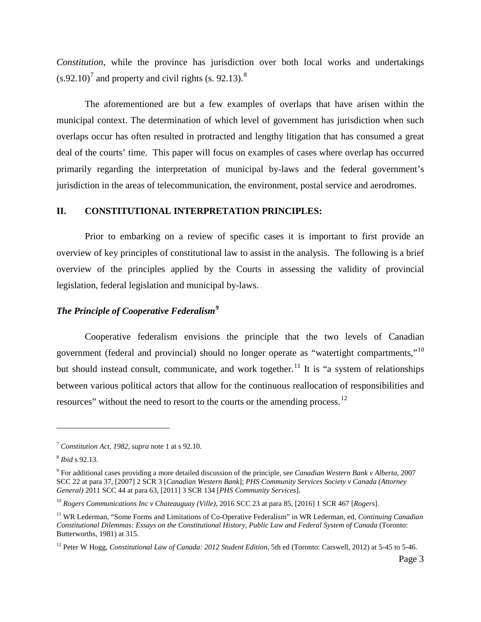*Constitution*, while the province has jurisdiction over both local works and undertakings  $(s.92.10)^7$  $(s.92.10)^7$  and property and civil rights  $(s. 92.13)^8$  $(s. 92.13)^8$ 

The aforementioned are but a few examples of overlaps that have arisen within the municipal context. The determination of which level of government has jurisdiction when such overlaps occur has often resulted in protracted and lengthy litigation that has consumed a great deal of the courts' time. This paper will focus on examples of cases where overlap has occurred primarily regarding the interpretation of municipal by-laws and the federal government's jurisdiction in the areas of telecommunication, the environment, postal service and aerodromes.

#### **II. CONSTITUTIONAL INTERPRETATION PRINCIPLES:**

Prior to embarking on a review of specific cases it is important to first provide an overview of key principles of constitutional law to assist in the analysis. The following is a brief overview of the principles applied by the Courts in assessing the validity of provincial legislation, federal legislation and municipal by-laws.

## <span id="page-3-6"></span>*The Principle of Cooperative Federalism[9](#page-3-2)*

<span id="page-3-7"></span>Cooperative federalism envisions the principle that the two levels of Canadian government (federal and provincial) should no longer operate as "watertight compartments,"[10](#page-3-3) but should instead consult, communicate, and work together.<sup>[11](#page-3-4)</sup> It is "a system of relationships between various political actors that allow for the continuous reallocation of responsibilities and resources" without the need to resort to the courts or the amending process.<sup>[12](#page-3-5)</sup>

<span id="page-3-0"></span><sup>7</sup> *Constitution Act, 1982, supra* not[e 1](#page-1-2) at s 92.10.

<span id="page-3-1"></span><sup>8</sup> *Ibid* s 92.13.

<span id="page-3-2"></span><sup>9</sup> For additional cases providing a more detailed discussion of the principle, see *Canadian Western Bank v Alberta*, 2007 SCC 22 at para 37, [2007] 2 SCR 3 [*Canadian Western Bank*]; *PHS Community Services Society v Canada (Attorney General)* 2011 SCC 44 at para 63, [2011] 3 SCR 134 [*PHS Community Services*].

<span id="page-3-3"></span><sup>10</sup> *Rogers Communications Inc v Chateauguay (Ville)*, 2016 SCC 23 at para 85, [2016] 1 SCR 467 [*Rogers*].

<span id="page-3-4"></span><sup>11</sup> WR Lederman, "Some Forms and Limitations of Co-Operative Federalism" in WR Lederman, ed, *Continuing Canadian Constitutional Dilemmas: Essays on the Constitutional History, Public Law and Federal System of Canada* (Toronto: Butterworths, 1981) at 315.

<span id="page-3-5"></span><sup>&</sup>lt;sup>12</sup> Peter W Hogg, *Constitutional Law of Canada: 2012 Student Edition*, 5th ed (Toronto: Carswell, 2012) at 5-45 to 5-46.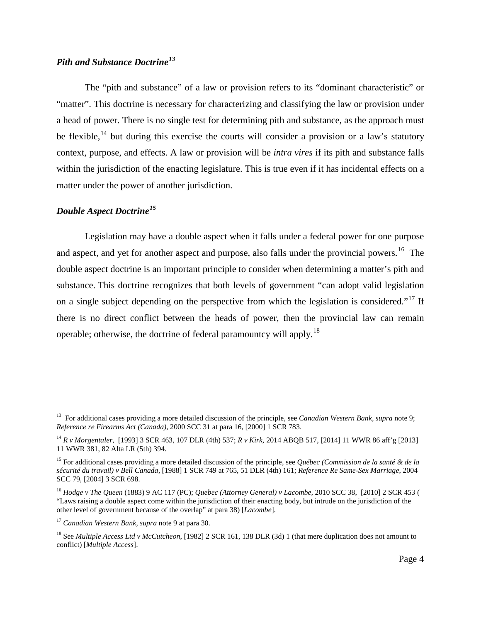#### *Pith and Substance Doctrine[13](#page-4-0)*

The "pith and substance" of a law or provision refers to its "dominant characteristic" or "matter". This doctrine is necessary for characterizing and classifying the law or provision under a head of power. There is no single test for determining pith and substance, as the approach must be flexible,  $14$  but during this exercise the courts will consider a provision or a law's statutory context, purpose, and effects. A law or provision will be *intra vires* if its pith and substance falls within the jurisdiction of the enacting legislature. This is true even if it has incidental effects on a matter under the power of another jurisdiction.

## *Double Aspect Doctrine[15](#page-4-2)*

<span id="page-4-7"></span> $\overline{a}$ 

<span id="page-4-6"></span>Legislation may have a double aspect when it falls under a federal power for one purpose and aspect, and yet for another aspect and purpose, also falls under the provincial powers.<sup>16</sup> The double aspect doctrine is an important principle to consider when determining a matter's pith and substance. This doctrine recognizes that both levels of government "can adopt valid legislation on a single subject depending on the perspective from which the legislation is considered."<sup>[17](#page-4-4)</sup> If there is no direct conflict between the heads of power, then the provincial law can remain operable; otherwise, the doctrine of federal paramountcy will apply.[18](#page-4-5)

<span id="page-4-0"></span><sup>13</sup> For additional cases providing a more detailed discussion of the principle, see *Canadian Western Bank, supra* note [9;](#page-3-6) *Reference re Firearms Act (Canada)*, 2000 SCC 31 at para 16, [2000] 1 SCR 783.

<span id="page-4-1"></span><sup>14</sup> *R v Morgentaler*, [1993] 3 SCR 463, 107 DLR (4th) 537; *R v Kirk*, 2014 ABQB 517, [2014] 11 WWR 86 aff'g [2013] 11 WWR 381, 82 Alta LR (5th) 394.

<span id="page-4-2"></span><sup>15</sup> For additional cases providing a more detailed discussion of the principle, see *Québec (Commission de la santé & de la sécurité du travail) v Bell Canada*, [1988] 1 SCR 749 at 765, 51 DLR (4th) 161; *Reference Re Same-Sex Marriage*, 2004 SCC 79, [2004] 3 SCR 698.

<span id="page-4-3"></span><sup>16</sup> *Hodge v The Queen* (1883) 9 AC 117 (PC); *Quebec (Attorney General) v Lacombe,* 2010 SCC 38, [2010] 2 SCR 453 ( "Laws raising a double aspect come within the jurisdiction of their enacting body, but intrude on the jurisdiction of the other level of government because of the overlap" at para 38) [*Lacombe*].

<span id="page-4-4"></span><sup>17</sup> *Canadian Western Bank, supra* not[e 9](#page-3-6) at para 30.

<span id="page-4-5"></span><sup>18</sup> See *Multiple Access Ltd v McCutcheon*, [1982] 2 SCR 161, 138 DLR (3d) 1 (that mere duplication does not amount to conflict) [*Multiple Access*].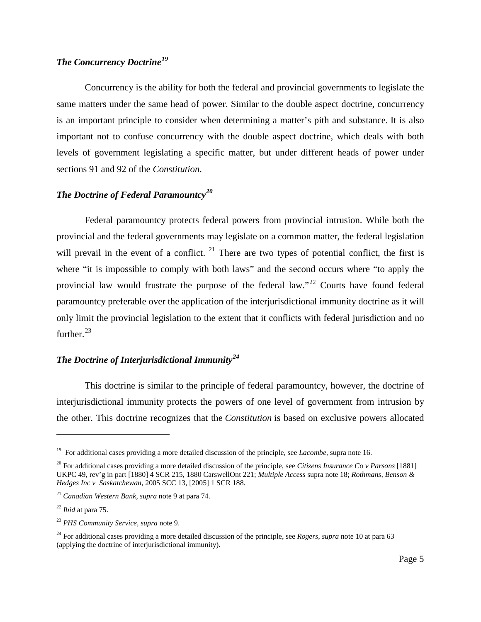## *The Concurrency Doctrine[19](#page-5-0)*

Concurrency is the ability for both the federal and provincial governments to legislate the same matters under the same head of power. Similar to the double aspect doctrine, concurrency is an important principle to consider when determining a matter's pith and substance. It is also important not to confuse concurrency with the double aspect doctrine, which deals with both levels of government legislating a specific matter, but under different heads of power under sections 91 and 92 of the *Constitution*.

#### *The Doctrine of Federal Paramountcy[20](#page-5-1)*

Federal paramountcy protects federal powers from provincial intrusion. While both the provincial and the federal governments may legislate on a common matter, the federal legislation will prevail in the event of a conflict.  $2<sup>1</sup>$  There are two types of potential conflict, the first is where "it is impossible to comply with both laws" and the second occurs where "to apply the provincial law would frustrate the purpose of the federal law."<sup>[22](#page-5-3)</sup> Courts have found federal paramountcy preferable over the application of the interjurisdictional immunity doctrine as it will only limit the provincial legislation to the extent that it conflicts with federal jurisdiction and no further. $^{23}$  $^{23}$  $^{23}$ 

### *The Doctrine of Interjurisdictional Immunity[24](#page-5-5)*

This doctrine is similar to the principle of federal paramountcy, however, the doctrine of interjurisdictional immunity protects the powers of one level of government from intrusion by the other. This doctrine recognizes that the *Constitution* is based on exclusive powers allocated

<span id="page-5-0"></span><sup>19</sup> For additional cases providing a more detailed discussion of the principle, see *Lacombe,* supra note [16.](#page-4-6)

<span id="page-5-1"></span><sup>20</sup> For additional cases providing a more detailed discussion of the principle, see *Citizens Insurance Co v Parsons* [1881] UKPC 49, rev'g in part [1880] 4 SCR 215, 1880 CarswellOnt 221; *Multiple Access* supra note [18;](#page-4-7) *Rothmans, Benson & Hedges Inc v Saskatchewan,* 2005 SCC 13, [2005] 1 SCR 188.

<span id="page-5-2"></span><sup>21</sup> *Canadian Western Bank, supra* not[e 9](#page-3-6) at para 74.

<span id="page-5-3"></span><sup>22</sup> *Ibid* at para 75.

<span id="page-5-4"></span><sup>23</sup> *PHS Community Service, supra* note [9.](#page-3-6)

<span id="page-5-5"></span><sup>24</sup> For additional cases providing a more detailed discussion of the principle, see *Rogers, supra* not[e 10](#page-3-7) at para 63 (applying the doctrine of interjurisdictional immunity).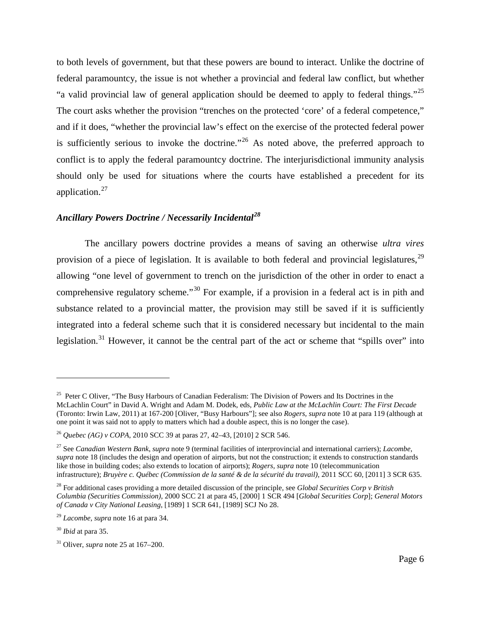<span id="page-6-0"></span>to both levels of government, but that these powers are bound to interact. Unlike the doctrine of federal paramountcy, the issue is not whether a provincial and federal law conflict, but whether "a valid provincial law of general application should be deemed to apply to federal things."[25](#page-6-1) The court asks whether the provision "trenches on the protected 'core' of a federal competence," and if it does, "whether the provincial law's effect on the exercise of the protected federal power is sufficiently serious to invoke the doctrine."<sup>[26](#page-6-2)</sup> As noted above, the preferred approach to conflict is to apply the federal paramountcy doctrine. The interjurisdictional immunity analysis should only be used for situations where the courts have established a precedent for its application.<sup>[27](#page-6-3)</sup>

#### <span id="page-6-8"></span>*Ancillary Powers Doctrine / Necessarily Incidental[28](#page-6-4)*

The ancillary powers doctrine provides a means of saving an otherwise *ultra vires*  provision of a piece of legislation. It is available to both federal and provincial legislatures,  $^{29}$  $^{29}$  $^{29}$ allowing "one level of government to trench on the jurisdiction of the other in order to enact a comprehensive regulatory scheme."<sup>[30](#page-6-6)</sup> For example, if a provision in a federal act is in pith and substance related to a provincial matter, the provision may still be saved if it is sufficiently integrated into a federal scheme such that it is considered necessary but incidental to the main legislation.<sup>[31](#page-6-7)</sup> However, it cannot be the central part of the act or scheme that "spills over" into

<span id="page-6-1"></span><sup>&</sup>lt;sup>25</sup> Peter C Oliver, "The Busy Harbours of Canadian Federalism: The Division of Powers and Its Doctrines in the McLachlin Court" in David A. Wright and Adam M. Dodek, eds, *Public Law at the McLachlin Court: The First Decade* (Toronto: Irwin Law, 2011) at 167-200 [Oliver, "Busy Harbours"]; see also *Rogers, supra* note [10](#page-3-7) at para 119 (although at one point it was said not to apply to matters which had a double aspect, this is no longer the case).

<span id="page-6-2"></span><sup>26</sup> *Quebec (AG) v COPA*, 2010 SCC 39 at paras 27, 42–43, [2010] 2 SCR 546.

<span id="page-6-3"></span><sup>27</sup> See *Canadian Western Bank*, *supra* note [9](#page-3-6) (terminal facilities of interprovincial and international carriers); *Lacombe*, *supra* note 18 (includes the design and operation of airports, but not the construction; it extends to construction standards like those in building codes; also extends to location of airports); *Rogers, supra* note [10](#page-3-7) (telecommunication infrastructure); *Bruyère c. Québec (Commission de la santé & de la sécurité du travail)*, 2011 SCC 60, [2011] 3 SCR 635.

<span id="page-6-4"></span><sup>28</sup> For additional cases providing a more detailed discussion of the principle*,* see *Global Securities Corp v British Columbia (Securities Commission)*, 2000 SCC 21 at para 45, [2000] 1 SCR 494 [*Global Securities Corp*]; *General Motors of Canada v City National Leasing*, [1989] 1 SCR 641, [1989] SCJ No 28.

<span id="page-6-5"></span><sup>29</sup> *Lacombe*, *supra* not[e 16](#page-4-6) at para 34.

<span id="page-6-6"></span><sup>30</sup> *Ibid* at para 35.

<span id="page-6-7"></span><sup>31</sup> Oliver, *supra* note [25](#page-6-0) at 167–200.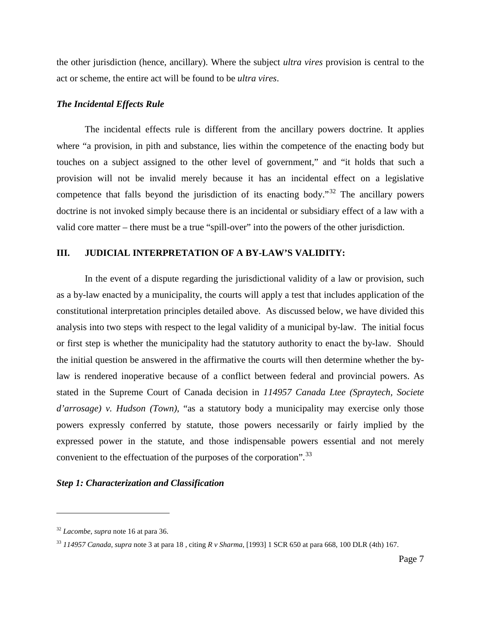the other jurisdiction (hence, ancillary). Where the subject *ultra vires* provision is central to the act or scheme, the entire act will be found to be *ultra vires*.

#### *The Incidental Effects Rule*

The incidental effects rule is different from the ancillary powers doctrine. It applies where "a provision, in pith and substance, lies within the competence of the enacting body but touches on a subject assigned to the other level of government," and "it holds that such a provision will not be invalid merely because it has an incidental effect on a legislative competence that falls beyond the jurisdiction of its enacting body."<sup>[32](#page-7-0)</sup> The ancillary powers doctrine is not invoked simply because there is an incidental or subsidiary effect of a law with a valid core matter – there must be a true "spill-over" into the powers of the other jurisdiction.

#### **III. JUDICIAL INTERPRETATION OF A BY-LAW'S VALIDITY:**

In the event of a dispute regarding the jurisdictional validity of a law or provision, such as a by-law enacted by a municipality, the courts will apply a test that includes application of the constitutional interpretation principles detailed above. As discussed below, we have divided this analysis into two steps with respect to the legal validity of a municipal by-law. The initial focus or first step is whether the municipality had the statutory authority to enact the by-law. Should the initial question be answered in the affirmative the courts will then determine whether the bylaw is rendered inoperative because of a conflict between federal and provincial powers. As stated in the Supreme Court of Canada decision in *114957 Canada Ltee (Spraytech, Societe d'arrosage) v. Hudson (Town)*, "as a statutory body a municipality may exercise only those powers expressly conferred by statute, those powers necessarily or fairly implied by the expressed power in the statute, and those indispensable powers essential and not merely convenient to the effectuation of the purposes of the corporation".<sup>[33](#page-7-1)</sup>

#### *Step 1: Characterization and Classification*

<span id="page-7-0"></span><sup>32</sup> *Lacombe*, *supra* not[e 16](#page-4-6) at para 36.

<span id="page-7-1"></span><sup>33</sup> *114957 Canada, supra* note [3](#page-2-4) at para 18 , citing *R v Sharma*, [1993] 1 SCR 650 at para 668, 100 DLR (4th) 167.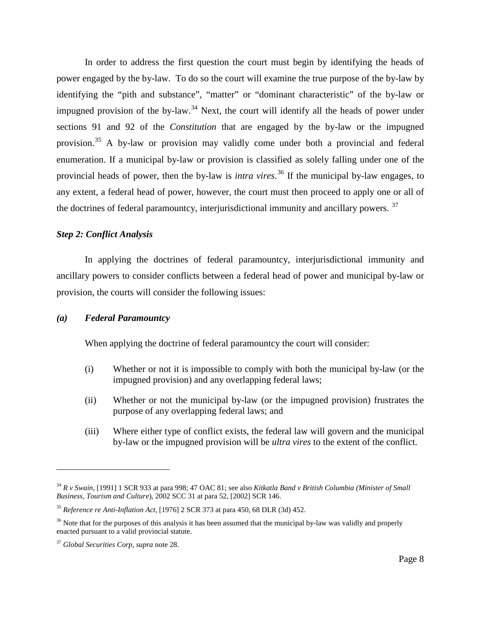In order to address the first question the court must begin by identifying the heads of power engaged by the by-law. To do so the court will examine the true purpose of the by-law by identifying the "pith and substance", "matter" or "dominant characteristic" of the by-law or impugned provision of the by-law.<sup>[34](#page-8-0)</sup> Next, the court will identify all the heads of power under sections 91 and 92 of the *Constitution* that are engaged by the by-law or the impugned provision.[35](#page-8-1) A by-law or provision may validly come under both a provincial and federal enumeration. If a municipal by-law or provision is classified as solely falling under one of the provincial heads of power, then the by-law is *intra vires*. [36](#page-8-2) If the municipal by-law engages, to any extent, a federal head of power, however, the court must then proceed to apply one or all of the doctrines of federal paramountcy, interjurisdictional immunity and ancillary powers.<sup>[37](#page-8-3)</sup>

#### *Step 2: Conflict Analysis*

In applying the doctrines of federal paramountcy, interjurisdictional immunity and ancillary powers to consider conflicts between a federal head of power and municipal by-law or provision, the courts will consider the following issues:

#### *(a) Federal Paramountcy*

When applying the doctrine of federal paramountcy the court will consider:

- (i) Whether or not it is impossible to comply with both the municipal by-law (or the impugned provision) and any overlapping federal laws;
- (ii) Whether or not the municipal by-law (or the impugned provision) frustrates the purpose of any overlapping federal laws; and
- (iii) Where either type of conflict exists, the federal law will govern and the municipal by-law or the impugned provision will be *ultra vires* to the extent of the conflict.

<span id="page-8-0"></span><sup>34</sup> *R v Swain,* [1991] 1 SCR 933 at para 998; 47 OAC 81; see also *Kitkatla Band v British Columbia (Minister of Small Business, Tourism and Culture*), 2002 SCC 31 at para 52, [2002] SCR 146.

<span id="page-8-1"></span><sup>35</sup> *Reference re Anti-Inflation Act*, [1976] 2 SCR 373 at para 450, 68 DLR (3d) 452.

<span id="page-8-2"></span><sup>&</sup>lt;sup>36</sup> Note that for the purposes of this analysis it has been assumed that the municipal by-law was validly and properly enacted pursuant to a valid provincial statute.

<span id="page-8-3"></span><sup>37</sup> *Global Securities Corp, supra* note [28.](#page-6-8)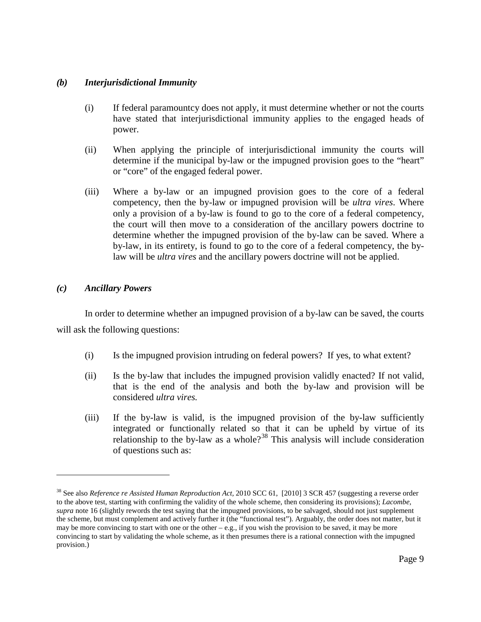#### *(b) Interjurisdictional Immunity*

- (i) If federal paramountcy does not apply, it must determine whether or not the courts have stated that interjurisdictional immunity applies to the engaged heads of power.
- (ii) When applying the principle of interjurisdictional immunity the courts will determine if the municipal by-law or the impugned provision goes to the "heart" or "core" of the engaged federal power.
- (iii) Where a by-law or an impugned provision goes to the core of a federal competency, then the by-law or impugned provision will be *ultra vires*. Where only a provision of a by-law is found to go to the core of a federal competency, the court will then move to a consideration of the ancillary powers doctrine to determine whether the impugned provision of the by-law can be saved. Where a by-law, in its entirety, is found to go to the core of a federal competency, the bylaw will be *ultra vires* and the ancillary powers doctrine will not be applied.

#### *(c) Ancillary Powers*

 $\overline{a}$ 

In order to determine whether an impugned provision of a by-law can be saved, the courts will ask the following questions:

- (i) Is the impugned provision intruding on federal powers? If yes, to what extent?
- (ii) Is the by-law that includes the impugned provision validly enacted? If not valid, that is the end of the analysis and both the by-law and provision will be considered *ultra vires.*
- (iii) If the by-law is valid, is the impugned provision of the by-law sufficiently integrated or functionally related so that it can be upheld by virtue of its relationship to the by-law as a whole?<sup>[38](#page-9-0)</sup> This analysis will include consideration of questions such as:

<span id="page-9-0"></span><sup>38</sup> See also *Reference re Assisted Human Reproduction Act,* 2010 SCC 61, [2010] 3 SCR 457 (suggesting a reverse order to the above test, starting with confirming the validity of the whole scheme, then considering its provisions); *Lacombe, supra* not[e 16](#page-4-6) (slightly rewords the test saying that the impugned provisions, to be salvaged, should not just supplement the scheme, but must complement and actively further it (the "functional test"). Arguably, the order does not matter, but it may be more convincing to start with one or the other  $-e.g.,$  if you wish the provision to be saved, it may be more convincing to start by validating the whole scheme, as it then presumes there is a rational connection with the impugned provision.)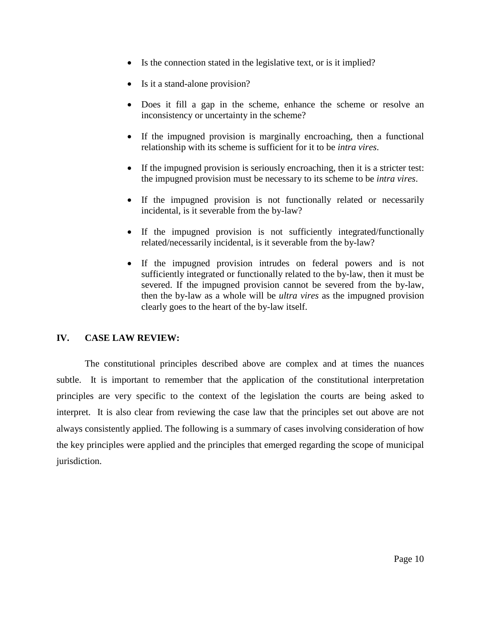- Is the connection stated in the legislative text, or is it implied?
- Is it a stand-alone provision?
- Does it fill a gap in the scheme, enhance the scheme or resolve an inconsistency or uncertainty in the scheme?
- If the impugned provision is marginally encroaching, then a functional relationship with its scheme is sufficient for it to be *intra vires*.
- If the impugned provision is seriously encroaching, then it is a stricter test: the impugned provision must be necessary to its scheme to be *intra vires*.
- If the impugned provision is not functionally related or necessarily incidental, is it severable from the by-law?
- If the impugned provision is not sufficiently integrated/functionally related/necessarily incidental, is it severable from the by-law?
- If the impugned provision intrudes on federal powers and is not sufficiently integrated or functionally related to the by-law, then it must be severed. If the impugned provision cannot be severed from the by-law, then the by-law as a whole will be *ultra vires* as the impugned provision clearly goes to the heart of the by-law itself.

### **IV. CASE LAW REVIEW:**

The constitutional principles described above are complex and at times the nuances subtle. It is important to remember that the application of the constitutional interpretation principles are very specific to the context of the legislation the courts are being asked to interpret. It is also clear from reviewing the case law that the principles set out above are not always consistently applied. The following is a summary of cases involving consideration of how the key principles were applied and the principles that emerged regarding the scope of municipal jurisdiction.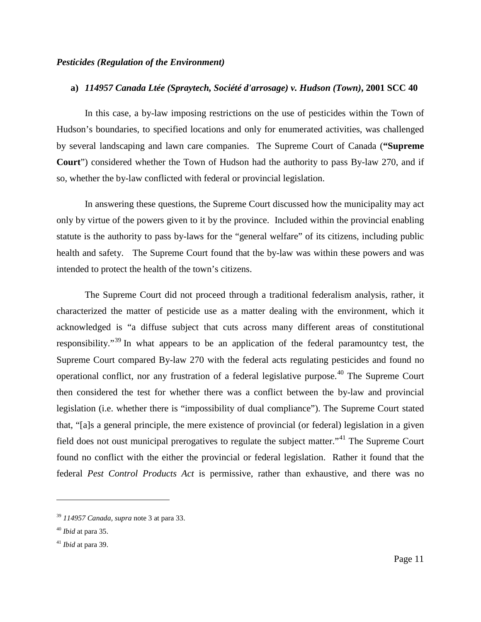#### *Pesticides (Regulation of the Environment)*

#### **a)** *114957 Canada Ltée (Spraytech, Société d'arrosage) v. Hudson (Town)***, 2001 SCC 40**

In this case, a by-law imposing restrictions on the use of pesticides within the Town of Hudson's boundaries, to specified locations and only for enumerated activities, was challenged by several landscaping and lawn care companies. The Supreme Court of Canada (**"Supreme Court**") considered whether the Town of Hudson had the authority to pass By-law 270, and if so, whether the by-law conflicted with federal or provincial legislation.

In answering these questions, the Supreme Court discussed how the municipality may act only by virtue of the powers given to it by the province. Included within the provincial enabling statute is the authority to pass by-laws for the "general welfare" of its citizens, including public health and safety. The Supreme Court found that the by-law was within these powers and was intended to protect the health of the town's citizens.

The Supreme Court did not proceed through a traditional federalism analysis, rather, it characterized the matter of pesticide use as a matter dealing with the environment, which it acknowledged is "a diffuse subject that cuts across many different areas of constitutional responsibility."[39](#page-11-0) In what appears to be an application of the federal paramountcy test, the Supreme Court compared By-law 270 with the federal acts regulating pesticides and found no operational conflict, nor any frustration of a federal legislative purpose.<sup>[40](#page-11-1)</sup> The Supreme Court then considered the test for whether there was a conflict between the by-law and provincial legislation (i.e. whether there is "impossibility of dual compliance"). The Supreme Court stated that, "[a]s a general principle, the mere existence of provincial (or federal) legislation in a given field does not oust municipal prerogatives to regulate the subject matter."[41](#page-11-2) The Supreme Court found no conflict with the either the provincial or federal legislation. Rather it found that the federal *Pest Control Products Act* is permissive, rather than exhaustive, and there was no

<span id="page-11-0"></span><sup>39</sup> *114957 Canada, supra* note [3](#page-2-4) at para 33.

<span id="page-11-1"></span><sup>40</sup> *Ibid* at para 35.

<span id="page-11-2"></span><sup>41</sup> *Ibid* at para 39.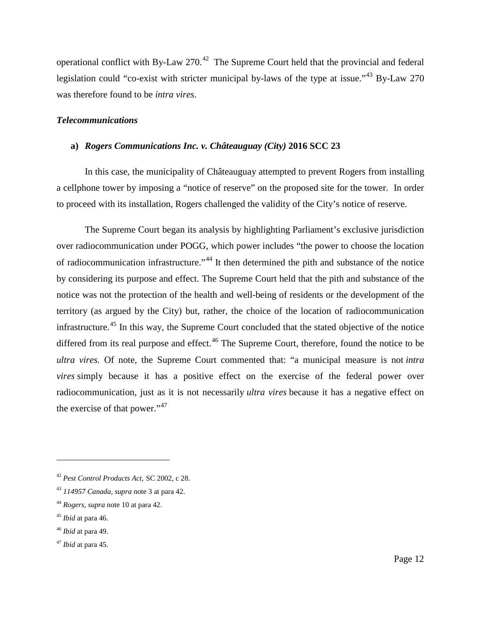operational conflict with By-Law 270.<sup>[42](#page-12-0)</sup> The Supreme Court held that the provincial and federal legislation could "co-exist with stricter municipal by-laws of the type at issue."<sup>[43](#page-12-1)</sup> By-Law 270 was therefore found to be *intra vires*.

#### *Telecommunications*

#### **a)** *Rogers Communications Inc. v. Châteauguay (City)* **2016 SCC 23**

In this case, the municipality of Châteauguay attempted to prevent Rogers from installing a cellphone tower by imposing a "notice of reserve" on the proposed site for the tower. In order to proceed with its installation, Rogers challenged the validity of the City's notice of reserve.

The Supreme Court began its analysis by highlighting Parliament's exclusive jurisdiction over radiocommunication under POGG, which power includes "the power to choose the location of radiocommunication infrastructure."[44](#page-12-2) It then determined the pith and substance of the notice by considering its purpose and effect. The Supreme Court held that the pith and substance of the notice was not the protection of the health and well-being of residents or the development of the territory (as argued by the City) but, rather, the choice of the location of radiocommunication infrastructure.<sup>[45](#page-12-3)</sup> In this way, the Supreme Court concluded that the stated objective of the notice differed from its real purpose and effect.<sup>[46](#page-12-4)</sup> The Supreme Court, therefore, found the notice to be *ultra vires.* Of note, the Supreme Court commented that: "a municipal measure is not *intra vires* simply because it has a positive effect on the exercise of the federal power over radiocommunication, just as it is not necessarily *ultra vires* because it has a negative effect on the exercise of that power."<sup>[47](#page-12-5)</sup>

 $\overline{a}$ 

<span id="page-12-4"></span><sup>46</sup> *Ibid* at para 49.

<span id="page-12-0"></span><sup>42</sup> *Pest Control Products Act,* SC 2002, c 28.

<span id="page-12-1"></span><sup>43</sup> *114957 Canada, supra* note [3](#page-2-4) at para 42.

<span id="page-12-2"></span><sup>44</sup> *Rogers, supra* note [10](#page-3-7) at para 42.

<span id="page-12-3"></span><sup>45</sup> *Ibid* at para 46.

<span id="page-12-5"></span><sup>47</sup> *Ibid* at para 45.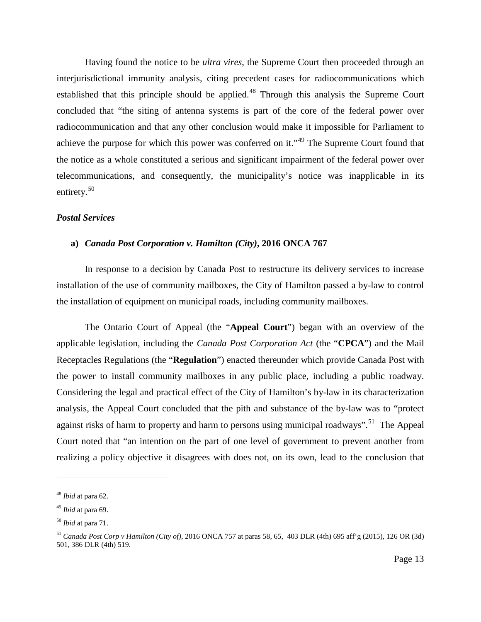Having found the notice to be *ultra vires*, the Supreme Court then proceeded through an interjurisdictional immunity analysis, citing precedent cases for radiocommunications which established that this principle should be applied.<sup>[48](#page-13-0)</sup> Through this analysis the Supreme Court concluded that "the siting of antenna systems is part of the core of the federal power over radiocommunication and that any other conclusion would make it impossible for Parliament to achieve the purpose for which this power was conferred on it."<sup>[49](#page-13-1)</sup> The Supreme Court found that the notice as a whole constituted a serious and significant impairment of the federal power over telecommunications, and consequently, the municipality's notice was inapplicable in its entirety.<sup>[50](#page-13-2)</sup>

#### *Postal Services*

#### **a)** *Canada Post Corporation v. Hamilton (City)***, 2016 ONCA 767**

In response to a decision by Canada Post to restructure its delivery services to increase installation of the use of community mailboxes, the City of Hamilton passed a by-law to control the installation of equipment on municipal roads, including community mailboxes.

The Ontario Court of Appeal (the "**Appeal Court**") began with an overview of the applicable legislation, including the *Canada Post Corporation Act* (the "**CPCA**") and the Mail Receptacles Regulations (the "**Regulation**") enacted thereunder which provide Canada Post with the power to install community mailboxes in any public place, including a public roadway. Considering the legal and practical effect of the City of Hamilton's by-law in its characterization analysis, the Appeal Court concluded that the pith and substance of the by-law was to "protect against risks of harm to property and harm to persons using municipal roadways".<sup>[51](#page-13-3)</sup> The Appeal Court noted that "an intention on the part of one level of government to prevent another from realizing a policy objective it disagrees with does not, on its own, lead to the conclusion that

<span id="page-13-0"></span><sup>48</sup> *Ibid* at para 62.

<span id="page-13-1"></span><sup>49</sup> *Ibid* at para 69.

<span id="page-13-2"></span><sup>50</sup> *Ibid* at para 71.

<span id="page-13-3"></span><sup>51</sup> *Canada Post Corp v Hamilton (City of),* 2016 ONCA 757 at paras 58, 65, 403 DLR (4th) 695 aff'g (2015), 126 OR (3d) 501, 386 DLR (4th) 519.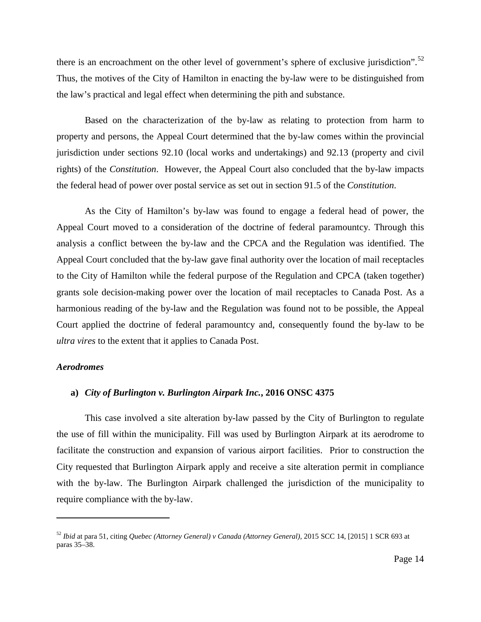there is an encroachment on the other level of government's sphere of exclusive jurisdiction".<sup>[52](#page-14-0)</sup> Thus, the motives of the City of Hamilton in enacting the by-law were to be distinguished from the law's practical and legal effect when determining the pith and substance.

Based on the characterization of the by-law as relating to protection from harm to property and persons, the Appeal Court determined that the by-law comes within the provincial jurisdiction under sections 92.10 (local works and undertakings) and 92.13 (property and civil rights) of the *Constitution*. However, the Appeal Court also concluded that the by-law impacts the federal head of power over postal service as set out in section 91.5 of the *Constitution*.

As the City of Hamilton's by-law was found to engage a federal head of power, the Appeal Court moved to a consideration of the doctrine of federal paramountcy. Through this analysis a conflict between the by-law and the CPCA and the Regulation was identified. The Appeal Court concluded that the by-law gave final authority over the location of mail receptacles to the City of Hamilton while the federal purpose of the Regulation and CPCA (taken together) grants sole decision-making power over the location of mail receptacles to Canada Post. As a harmonious reading of the by-law and the Regulation was found not to be possible, the Appeal Court applied the doctrine of federal paramountcy and, consequently found the by-law to be *ultra vires* to the extent that it applies to Canada Post.

#### *Aerodromes*

 $\overline{a}$ 

#### **a)** *City of Burlington v. Burlington Airpark Inc.***, 2016 ONSC 4375**

This case involved a site alteration by-law passed by the City of Burlington to regulate the use of fill within the municipality. Fill was used by Burlington Airpark at its aerodrome to facilitate the construction and expansion of various airport facilities. Prior to construction the City requested that Burlington Airpark apply and receive a site alteration permit in compliance with the by-law. The Burlington Airpark challenged the jurisdiction of the municipality to require compliance with the by-law.

<span id="page-14-0"></span><sup>52</sup> *Ibid* at para 51, citing *Quebec (Attorney General) v Canada (Attorney General),* 2015 SCC 14, [2015] 1 SCR 693 at paras 35–38.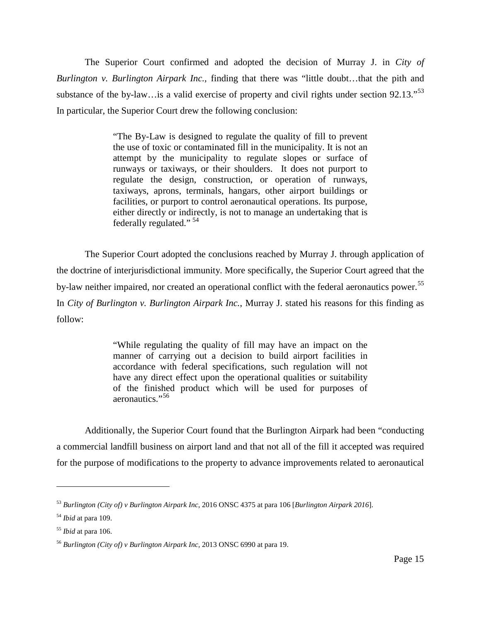The Superior Court confirmed and adopted the decision of Murray J. in *City of Burlington v. Burlington Airpark Inc.,* finding that there was "little doubt…that the pith and substance of the by-law...is a valid exercise of property and civil rights under section 92.13."<sup>[53](#page-15-0)</sup> In particular, the Superior Court drew the following conclusion:

> "The By-Law is designed to regulate the quality of fill to prevent the use of toxic or contaminated fill in the municipality. It is not an attempt by the municipality to regulate slopes or surface of runways or taxiways, or their shoulders. It does not purport to regulate the design, construction, or operation of runways, taxiways, aprons, terminals, hangars, other airport buildings or facilities, or purport to control aeronautical operations. Its purpose, either directly or indirectly, is not to manage an undertaking that is federally regulated." [54](#page-15-1)

The Superior Court adopted the conclusions reached by Murray J. through application of the doctrine of interjurisdictional immunity. More specifically, the Superior Court agreed that the by-law neither impaired, nor created an operational conflict with the federal aeronautics power.<sup>[55](#page-15-2)</sup> In *City of Burlington v. Burlington Airpark Inc.*, Murray J. stated his reasons for this finding as follow:

> "While regulating the quality of fill may have an impact on the manner of carrying out a decision to build airport facilities in accordance with federal specifications, such regulation will not have any direct effect upon the operational qualities or suitability of the finished product which will be used for purposes of aeronautics."<sup>[56](#page-15-3)</sup>

Additionally, the Superior Court found that the Burlington Airpark had been "conducting a commercial landfill business on airport land and that not all of the fill it accepted was required for the purpose of modifications to the property to advance improvements related to aeronautical

<span id="page-15-0"></span><sup>53</sup> *Burlington (City of) v Burlington Airpark Inc*, 2016 ONSC 4375 at para 106 [*Burlington Airpark 2016*].

<span id="page-15-1"></span><sup>54</sup> *Ibid* at para 109.

<span id="page-15-2"></span><sup>55</sup> *Ibid* at para 106.

<span id="page-15-3"></span><sup>56</sup> *Burlington (City of) v Burlington Airpark Inc,* 2013 ONSC 6990 at para 19.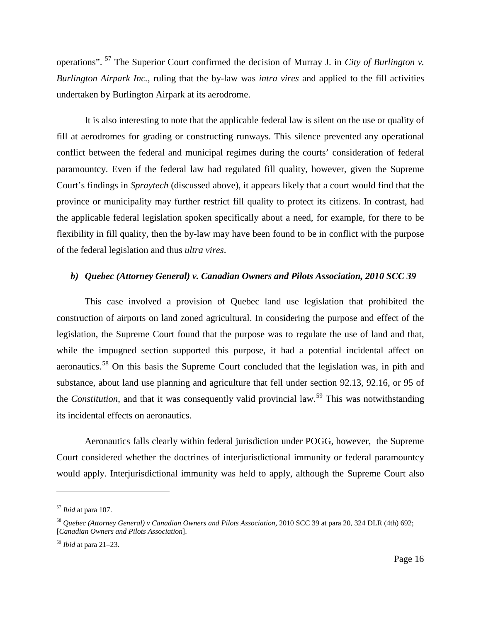operations". [57](#page-16-0) The Superior Court confirmed the decision of Murray J. in *City of Burlington v. Burlington Airpark Inc.*, ruling that the by-law was *intra vires* and applied to the fill activities undertaken by Burlington Airpark at its aerodrome.

It is also interesting to note that the applicable federal law is silent on the use or quality of fill at aerodromes for grading or constructing runways. This silence prevented any operational conflict between the federal and municipal regimes during the courts' consideration of federal paramountcy. Even if the federal law had regulated fill quality, however, given the Supreme Court's findings in *Spraytech* (discussed above), it appears likely that a court would find that the province or municipality may further restrict fill quality to protect its citizens. In contrast, had the applicable federal legislation spoken specifically about a need, for example, for there to be flexibility in fill quality, then the by-law may have been found to be in conflict with the purpose of the federal legislation and thus *ultra vires*.

#### *b) Quebec (Attorney General) v. Canadian Owners and Pilots Association, 2010 SCC 39*

<span id="page-16-3"></span>This case involved a provision of Quebec land use legislation that prohibited the construction of airports on land zoned agricultural. In considering the purpose and effect of the legislation, the Supreme Court found that the purpose was to regulate the use of land and that, while the impugned section supported this purpose, it had a potential incidental affect on aeronautics.<sup>[58](#page-16-1)</sup> On this basis the Supreme Court concluded that the legislation was, in pith and substance, about land use planning and agriculture that fell under section 92.13, 92.16, or 95 of the *Constitution*, and that it was consequently valid provincial law.<sup>[59](#page-16-2)</sup> This was notwithstanding its incidental effects on aeronautics.

Aeronautics falls clearly within federal jurisdiction under POGG, however, the Supreme Court considered whether the doctrines of interjurisdictional immunity or federal paramountcy would apply. Interjurisdictional immunity was held to apply, although the Supreme Court also

<span id="page-16-0"></span><sup>57</sup> *Ibid* at para 107.

<span id="page-16-1"></span><sup>58</sup> *Quebec (Attorney General) v Canadian Owners and Pilots Association,* 2010 SCC 39 at para 20, 324 DLR (4th) 692; [*Canadian Owners and Pilots Association*].

<span id="page-16-2"></span><sup>59</sup> *Ibid* at para 21–23.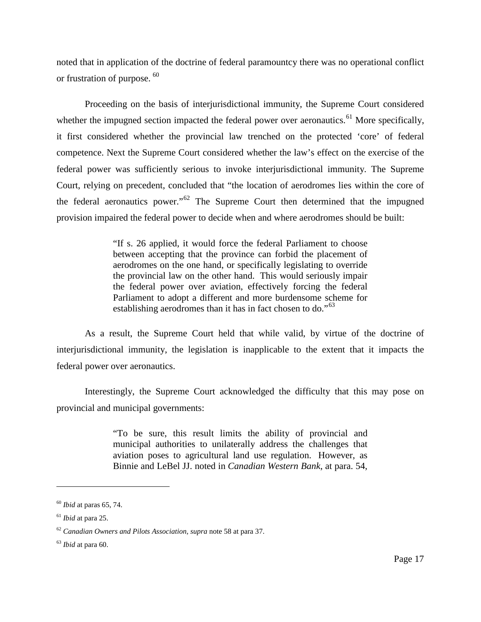noted that in application of the doctrine of federal paramountcy there was no operational conflict or frustration of purpose. [60](#page-17-0)

Proceeding on the basis of interjurisdictional immunity, the Supreme Court considered whether the impugned section impacted the federal power over aeronautics.<sup>[61](#page-17-1)</sup> More specifically, it first considered whether the provincial law trenched on the protected 'core' of federal competence. Next the Supreme Court considered whether the law's effect on the exercise of the federal power was sufficiently serious to invoke interjurisdictional immunity. The Supreme Court, relying on precedent, concluded that "the location of aerodromes lies within the core of the federal aeronautics power."[62](#page-17-2) The Supreme Court then determined that the impugned provision impaired the federal power to decide when and where aerodromes should be built:

> "If s. 26 applied, it would force the federal Parliament to choose between accepting that the province can forbid the placement of aerodromes on the one hand, or specifically legislating to override the provincial law on the other hand. This would seriously impair the federal power over aviation, effectively forcing the federal Parliament to adopt a different and more burdensome scheme for establishing aerodromes than it has in fact chosen to do."<sup>[63](#page-17-3)</sup>

As a result, the Supreme Court held that while valid, by virtue of the doctrine of interjurisdictional immunity, the legislation is inapplicable to the extent that it impacts the federal power over aeronautics.

Interestingly, the Supreme Court acknowledged the difficulty that this may pose on provincial and municipal governments:

> "To be sure, this result limits the ability of provincial and municipal authorities to unilaterally address the challenges that aviation poses to agricultural land use regulation. However, as Binnie and LeBel JJ. noted in *Canadian Western Bank*, at para. 54,

<span id="page-17-0"></span><sup>60</sup> *Ibid* at paras 65, 74.

<span id="page-17-1"></span><sup>61</sup> *Ibid* at para 25.

<span id="page-17-2"></span><sup>62</sup> *Canadian Owners and Pilots Association, supra* note [58](#page-16-3) at para 37.

<span id="page-17-3"></span><sup>63</sup> *Ibid* at para 60.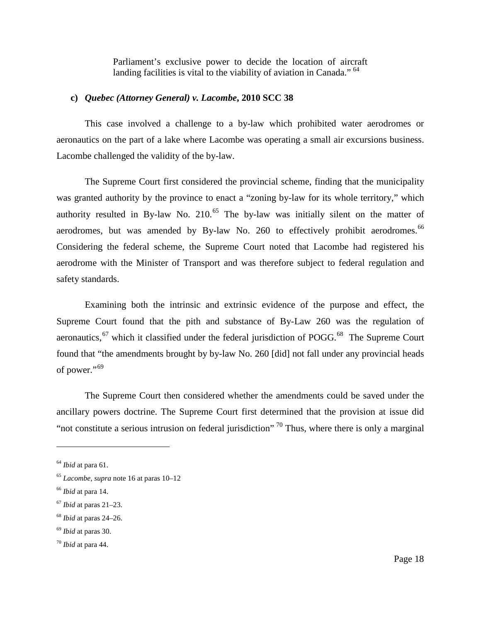Parliament's exclusive power to decide the location of aircraft landing facilities is vital to the viability of aviation in Canada." <sup>[64](#page-18-0)</sup>

#### **c)** *Quebec (Attorney General) v. Lacombe***, 2010 SCC 38**

This case involved a challenge to a by-law which prohibited water aerodromes or aeronautics on the part of a lake where Lacombe was operating a small air excursions business. Lacombe challenged the validity of the by-law.

The Supreme Court first considered the provincial scheme, finding that the municipality was granted authority by the province to enact a "zoning by-law for its whole territory," which authority resulted in By-law No.  $210^{65}$  $210^{65}$  $210^{65}$  The by-law was initially silent on the matter of aerodromes, but was amended by By-law No. 260 to effectively prohibit aerodromes.<sup>[66](#page-18-2)</sup> Considering the federal scheme, the Supreme Court noted that Lacombe had registered his aerodrome with the Minister of Transport and was therefore subject to federal regulation and safety standards.

Examining both the intrinsic and extrinsic evidence of the purpose and effect, the Supreme Court found that the pith and substance of By-Law 260 was the regulation of aeronautics,  $67$  which it classified under the federal jurisdiction of POGG. $68$  The Supreme Court found that "the amendments brought by by-law No. 260 [did] not fall under any provincial heads of power."<sup>[69](#page-18-5)</sup>

The Supreme Court then considered whether the amendments could be saved under the ancillary powers doctrine. The Supreme Court first determined that the provision at issue did "not constitute a serious intrusion on federal jurisdiction"  $70$  Thus, where there is only a marginal

<span id="page-18-0"></span><sup>64</sup> *Ibid* at para 61.

<span id="page-18-1"></span><sup>65</sup> *Lacombe*, *supra* not[e 16](#page-4-6) at paras 10–12

<span id="page-18-2"></span><sup>66</sup> *Ibid* at para 14.

<span id="page-18-3"></span><sup>67</sup> *Ibid* at paras 21–23.

<span id="page-18-4"></span><sup>68</sup> *Ibid* at paras 24–26.

<span id="page-18-5"></span><sup>69</sup> *Ibid* at paras 30.

<span id="page-18-6"></span><sup>70</sup> *Ibid* at para 44.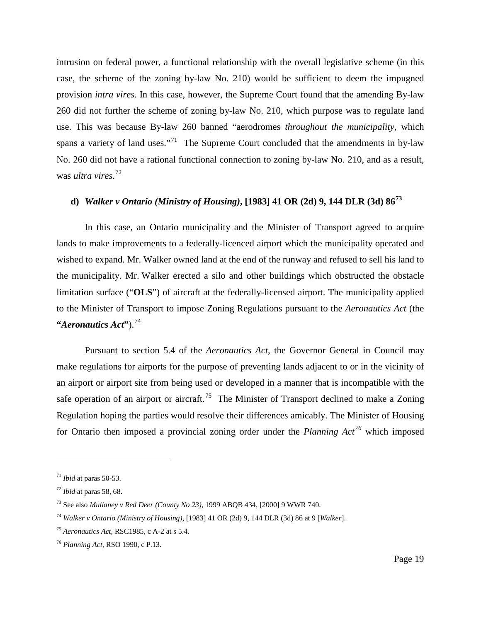intrusion on federal power, a functional relationship with the overall legislative scheme (in this case, the scheme of the zoning by-law No. 210) would be sufficient to deem the impugned provision *intra vires*. In this case, however, the Supreme Court found that the amending By-law 260 did not further the scheme of zoning by-law No. 210, which purpose was to regulate land use. This was because By-law 260 banned "aerodromes *throughout the municipality*, which spans a variety of land uses."<sup>71</sup> The Supreme Court concluded that the amendments in by-law No. 260 did not have a rational functional connection to zoning by-law No. 210, and as a result, was *ultra vires*. [72](#page-19-1)

## **d)** *Walker v Ontario (Ministry of Housing)***, [1983] 41 OR (2d) 9, 144 DLR (3d) 86[73](#page-19-2)**

In this case, an Ontario municipality and the Minister of Transport agreed to acquire lands to make improvements to a federally-licenced airport which the municipality operated and wished to expand. Mr. Walker owned land at the end of the runway and refused to sell his land to the municipality. Mr. Walker erected a silo and other buildings which obstructed the obstacle limitation surface ("**OLS**") of aircraft at the federally-licensed airport. The municipality applied to the Minister of Transport to impose Zoning Regulations pursuant to the *Aeronautics Act* (the **"***Aeronautics Act***"**).[74](#page-19-3)

<span id="page-19-6"></span>Pursuant to section 5.4 of the *Aeronautics Act*, the Governor General in Council may make regulations for airports for the purpose of preventing lands adjacent to or in the vicinity of an airport or airport site from being used or developed in a manner that is incompatible with the safe operation of an airport or aircraft.<sup>75</sup> The Minister of Transport declined to make a Zoning Regulation hoping the parties would resolve their differences amicably. The Minister of Housing for Ontario then imposed a provincial zoning order under the *Planning Act[76](#page-19-5)* which imposed

<span id="page-19-0"></span><sup>71</sup> *Ibid* at paras 50-53.

<span id="page-19-1"></span><sup>72</sup> *Ibid* at paras 58, 68.

<span id="page-19-2"></span><sup>73</sup> See also *Mullaney v Red Deer (County No 23),* 1999 ABQB 434, [2000] 9 WWR 740.

<span id="page-19-3"></span><sup>74</sup> *Walker v Ontario (Ministry of Housing)*, [1983] 41 OR (2d) 9, 144 DLR (3d) 86 at 9 [*Walker*].

<span id="page-19-4"></span><sup>75</sup> *Aeronautics Act,* RSC1985, c A-2 at s 5.4.

<span id="page-19-5"></span><sup>76</sup> *Planning Act*, RSO 1990, c P.13.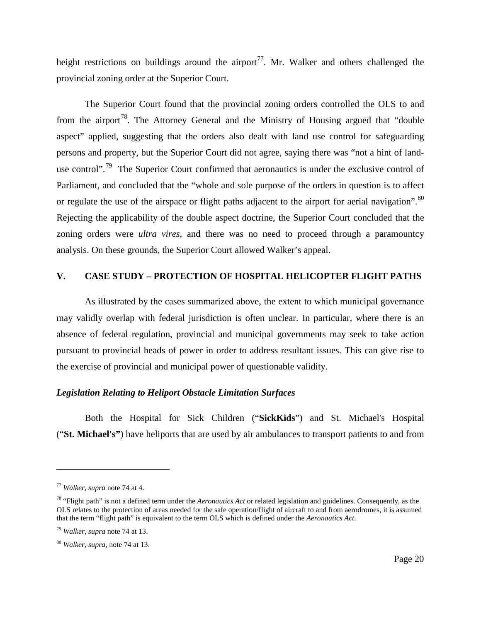height restrictions on buildings around the airport<sup>77</sup>. Mr. Walker and others challenged the provincial zoning order at the Superior Court.

The Superior Court found that the provincial zoning orders controlled the OLS to and from the airport<sup>[78](#page-20-1)</sup>. The Attorney General and the Ministry of Housing argued that "double" aspect" applied, suggesting that the orders also dealt with land use control for safeguarding persons and property, but the Superior Court did not agree, saying there was "not a hint of land-use control".<sup>[79](#page-20-2)</sup> The Superior Court confirmed that aeronautics is under the exclusive control of Parliament, and concluded that the "whole and sole purpose of the orders in question is to affect or regulate the use of the airspace or flight paths adjacent to the airport for aerial navigation".<sup>[80](#page-20-3)</sup> Rejecting the applicability of the double aspect doctrine, the Superior Court concluded that the zoning orders were *ultra vires*, and there was no need to proceed through a paramountcy analysis. On these grounds, the Superior Court allowed Walker's appeal.

#### **V. CASE STUDY – PROTECTION OF HOSPITAL HELICOPTER FLIGHT PATHS**

As illustrated by the cases summarized above, the extent to which municipal governance may validly overlap with federal jurisdiction is often unclear. In particular, where there is an absence of federal regulation, provincial and municipal governments may seek to take action pursuant to provincial heads of power in order to address resultant issues. This can give rise to the exercise of provincial and municipal power of questionable validity.

#### *Legislation Relating to Heliport Obstacle Limitation Surfaces*

Both the Hospital for Sick Children ("**SickKids**") and St. Michael's Hospital ("**St. Michael's"**) have heliports that are used by air ambulances to transport patients to and from

<span id="page-20-0"></span><sup>77</sup> *Walker, supra* note [74](#page-19-6) at 4.

<span id="page-20-1"></span><sup>78</sup> "Flight path" is not a defined term under the *Aeronautics Act* or related legislation and guidelines. Consequently, as the OLS relates to the protection of areas needed for the safe operation/flight of aircraft to and from aerodromes, it is assumed that the term "flight path" is equivalent to the term OLS which is defined under the *Aeronautics Act*.

<span id="page-20-2"></span><sup>79</sup> *Walker, supra* note [74](#page-19-6) at 13.

<span id="page-20-3"></span><sup>80</sup> *Walker, supra,* not[e 74](#page-19-6) at 13.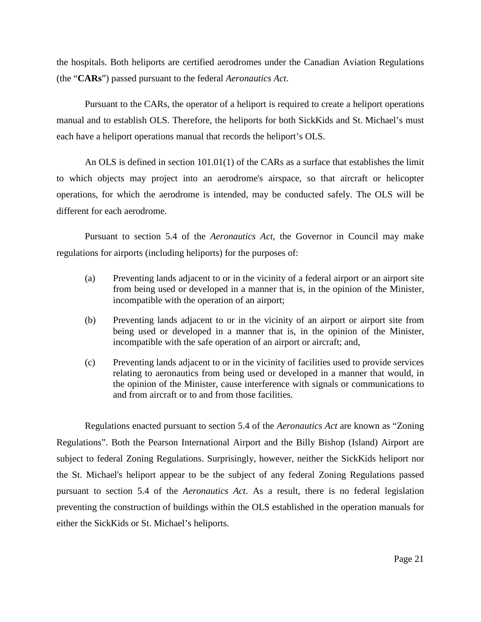the hospitals. Both heliports are certified aerodromes under the Canadian Aviation Regulations (the "**CARs**") passed pursuant to the federal *Aeronautics Act*.

Pursuant to the CARs, the operator of a heliport is required to create a heliport operations manual and to establish OLS. Therefore, the heliports for both SickKids and St. Michael's must each have a heliport operations manual that records the heliport's OLS.

An OLS is defined in section 101.01(1) of the CARs as a surface that establishes the limit to which objects may project into an aerodrome's airspace, so that aircraft or helicopter operations, for which the aerodrome is intended, may be conducted safely. The OLS will be different for each aerodrome.

Pursuant to section 5.4 of the *Aeronautics Act*, the Governor in Council may make regulations for airports (including heliports) for the purposes of:

- (a) Preventing lands adjacent to or in the vicinity of a federal airport or an airport site from being used or developed in a manner that is, in the opinion of the Minister, incompatible with the operation of an airport;
- (b) Preventing lands adjacent to or in the vicinity of an airport or airport site from being used or developed in a manner that is, in the opinion of the Minister, incompatible with the safe operation of an airport or aircraft; and,
- (c) Preventing lands adjacent to or in the vicinity of facilities used to provide services relating to aeronautics from being used or developed in a manner that would, in the opinion of the Minister, cause interference with signals or communications to and from aircraft or to and from those facilities.

Regulations enacted pursuant to section 5.4 of the *Aeronautics Act* are known as "Zoning Regulations". Both the Pearson International Airport and the Billy Bishop (Island) Airport are subject to federal Zoning Regulations. Surprisingly, however, neither the SickKids heliport nor the St. Michael's heliport appear to be the subject of any federal Zoning Regulations passed pursuant to section 5.4 of the *Aeronautics Act*. As a result, there is no federal legislation preventing the construction of buildings within the OLS established in the operation manuals for either the SickKids or St. Michael's heliports.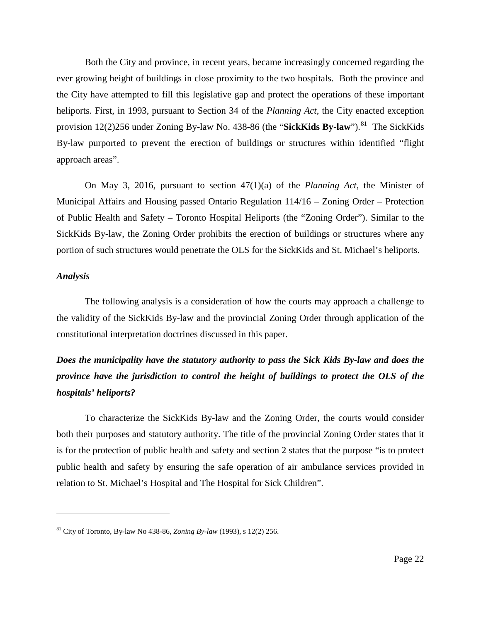Both the City and province, in recent years, became increasingly concerned regarding the ever growing height of buildings in close proximity to the two hospitals. Both the province and the City have attempted to fill this legislative gap and protect the operations of these important heliports. First, in 1993, pursuant to Section 34 of the *Planning Act*, the City enacted exception provision  $12(2)256$  under Zoning By-law No. 438-86 (the "**SickKids By-law**").<sup>[81](#page-22-0)</sup> The SickKids By-law purported to prevent the erection of buildings or structures within identified "flight approach areas".

On May 3, 2016, pursuant to section 47(1)(a) of the *Planning Act*, the Minister of Municipal Affairs and Housing passed Ontario Regulation 114/16 – Zoning Order – Protection of Public Health and Safety – Toronto Hospital Heliports (the "Zoning Order"). Similar to the SickKids By-law, the Zoning Order prohibits the erection of buildings or structures where any portion of such structures would penetrate the OLS for the SickKids and St. Michael's heliports.

#### *Analysis*

 $\overline{a}$ 

The following analysis is a consideration of how the courts may approach a challenge to the validity of the SickKids By-law and the provincial Zoning Order through application of the constitutional interpretation doctrines discussed in this paper.

## *Does the municipality have the statutory authority to pass the Sick Kids By-law and does the province have the jurisdiction to control the height of buildings to protect the OLS of the hospitals' heliports?*

To characterize the SickKids By-law and the Zoning Order, the courts would consider both their purposes and statutory authority. The title of the provincial Zoning Order states that it is for the protection of public health and safety and section 2 states that the purpose "is to protect public health and safety by ensuring the safe operation of air ambulance services provided in relation to St. Michael's Hospital and The Hospital for Sick Children".

<span id="page-22-0"></span><sup>81</sup> City of Toronto, By-law No 438-86, *Zoning By-law* (1993), s 12(2) 256.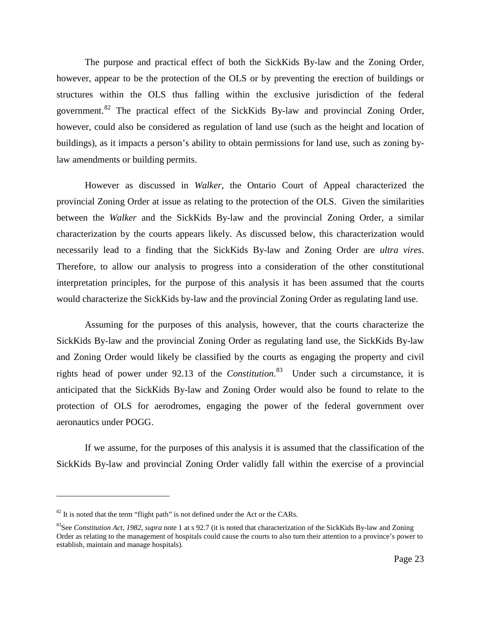The purpose and practical effect of both the SickKids By-law and the Zoning Order, however, appear to be the protection of the OLS or by preventing the erection of buildings or structures within the OLS thus falling within the exclusive jurisdiction of the federal government.[82](#page-23-0) The practical effect of the SickKids By-law and provincial Zoning Order, however, could also be considered as regulation of land use (such as the height and location of buildings), as it impacts a person's ability to obtain permissions for land use, such as zoning bylaw amendments or building permits.

However as discussed in *Walker*, the Ontario Court of Appeal characterized the provincial Zoning Order at issue as relating to the protection of the OLS. Given the similarities between the *Walker* and the SickKids By-law and the provincial Zoning Order, a similar characterization by the courts appears likely. As discussed below, this characterization would necessarily lead to a finding that the SickKids By-law and Zoning Order are *ultra vires*. Therefore, to allow our analysis to progress into a consideration of the other constitutional interpretation principles, for the purpose of this analysis it has been assumed that the courts would characterize the SickKids by-law and the provincial Zoning Order as regulating land use.

Assuming for the purposes of this analysis, however, that the courts characterize the SickKids By-law and the provincial Zoning Order as regulating land use, the SickKids By-law and Zoning Order would likely be classified by the courts as engaging the property and civil rights head of power under 92.13 of the *Constitution*. [83](#page-23-1) Under such a circumstance, it is anticipated that the SickKids By-law and Zoning Order would also be found to relate to the protection of OLS for aerodromes, engaging the power of the federal government over aeronautics under POGG.

If we assume, for the purposes of this analysis it is assumed that the classification of the SickKids By-law and provincial Zoning Order validly fall within the exercise of a provincial

<span id="page-23-0"></span> $82$  It is noted that the term "flight path" is not defined under the Act or the CARs.

<span id="page-23-1"></span><sup>83</sup>See *Constitution Act, 1982, supra* not[e 1](#page-1-2) at s 92.7 (it is noted that characterization of the SickKids By-law and Zoning Order as relating to the management of hospitals could cause the courts to also turn their attention to a province's power to establish, maintain and manage hospitals).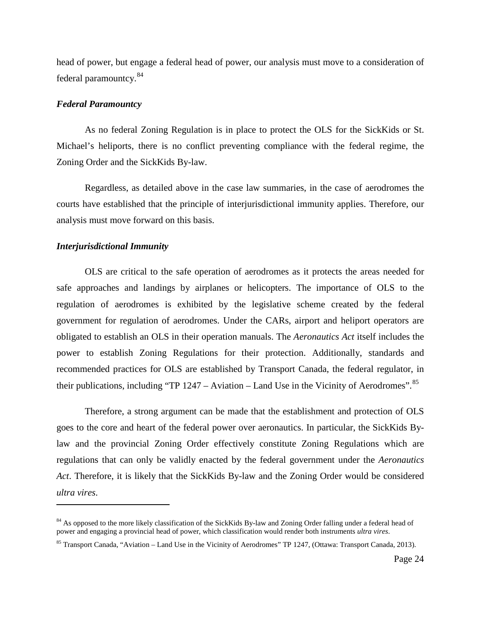head of power, but engage a federal head of power, our analysis must move to a consideration of federal paramountcy.[84](#page-24-0)

#### *Federal Paramountcy*

As no federal Zoning Regulation is in place to protect the OLS for the SickKids or St. Michael's heliports, there is no conflict preventing compliance with the federal regime, the Zoning Order and the SickKids By-law.

Regardless, as detailed above in the case law summaries, in the case of aerodromes the courts have established that the principle of interjurisdictional immunity applies. Therefore, our analysis must move forward on this basis.

#### *Interjurisdictional Immunity*

 $\overline{a}$ 

OLS are critical to the safe operation of aerodromes as it protects the areas needed for safe approaches and landings by airplanes or helicopters. The importance of OLS to the regulation of aerodromes is exhibited by the legislative scheme created by the federal government for regulation of aerodromes. Under the CARs, airport and heliport operators are obligated to establish an OLS in their operation manuals. The *Aeronautics Act* itself includes the power to establish Zoning Regulations for their protection. Additionally, standards and recommended practices for OLS are established by Transport Canada, the federal regulator, in their publications, including "TP  $1247 -$  Aviation – Land Use in the Vicinity of Aerodromes".<sup>[85](#page-24-1)</sup>

Therefore, a strong argument can be made that the establishment and protection of OLS goes to the core and heart of the federal power over aeronautics. In particular, the SickKids Bylaw and the provincial Zoning Order effectively constitute Zoning Regulations which are regulations that can only be validly enacted by the federal government under the *Aeronautics Act*. Therefore, it is likely that the SickKids By-law and the Zoning Order would be considered *ultra vires*.

<span id="page-24-0"></span><sup>&</sup>lt;sup>84</sup> As opposed to the more likely classification of the SickKids By-law and Zoning Order falling under a federal head of power and engaging a provincial head of power, which classification would render both instruments *ultra vires*.

<span id="page-24-1"></span><sup>&</sup>lt;sup>85</sup> Transport Canada, "Aviation – Land Use in the Vicinity of Aerodromes" TP 1247, (Ottawa: Transport Canada, 2013).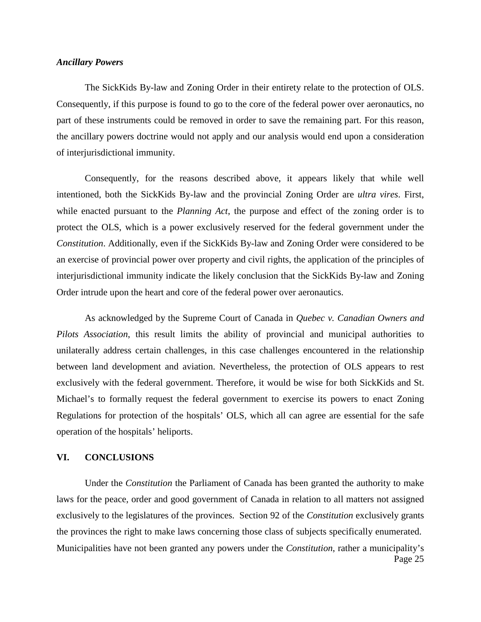#### *Ancillary Powers*

The SickKids By-law and Zoning Order in their entirety relate to the protection of OLS. Consequently, if this purpose is found to go to the core of the federal power over aeronautics, no part of these instruments could be removed in order to save the remaining part. For this reason, the ancillary powers doctrine would not apply and our analysis would end upon a consideration of interjurisdictional immunity.

Consequently, for the reasons described above, it appears likely that while well intentioned, both the SickKids By-law and the provincial Zoning Order are *ultra vires*. First, while enacted pursuant to the *Planning Act*, the purpose and effect of the zoning order is to protect the OLS, which is a power exclusively reserved for the federal government under the *Constitution*. Additionally, even if the SickKids By-law and Zoning Order were considered to be an exercise of provincial power over property and civil rights, the application of the principles of interjurisdictional immunity indicate the likely conclusion that the SickKids By-law and Zoning Order intrude upon the heart and core of the federal power over aeronautics.

As acknowledged by the Supreme Court of Canada in *Quebec v. Canadian Owners and Pilots Association*, this result limits the ability of provincial and municipal authorities to unilaterally address certain challenges, in this case challenges encountered in the relationship between land development and aviation. Nevertheless, the protection of OLS appears to rest exclusively with the federal government. Therefore, it would be wise for both SickKids and St. Michael's to formally request the federal government to exercise its powers to enact Zoning Regulations for protection of the hospitals' OLS, which all can agree are essential for the safe operation of the hospitals' heliports.

#### **VI. CONCLUSIONS**

Page 25 Under the *Constitution* the Parliament of Canada has been granted the authority to make laws for the peace, order and good government of Canada in relation to all matters not assigned exclusively to the legislatures of the provinces. Section 92 of the *Constitution* exclusively grants the provinces the right to make laws concerning those class of subjects specifically enumerated. Municipalities have not been granted any powers under the *Constitution*, rather a municipality's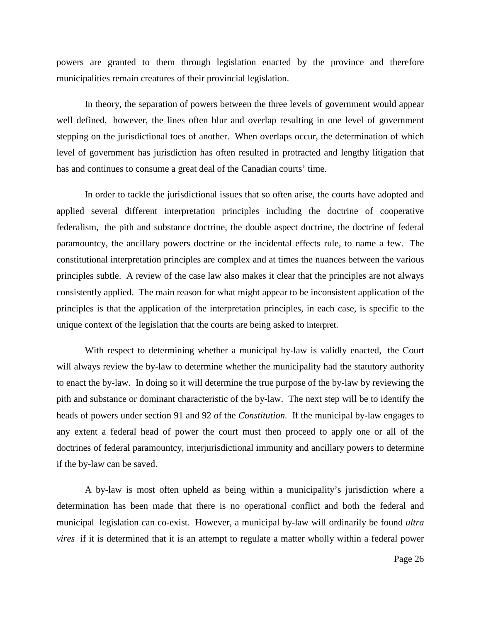powers are granted to them through legislation enacted by the province and therefore municipalities remain creatures of their provincial legislation.

In theory, the separation of powers between the three levels of government would appear well defined, however, the lines often blur and overlap resulting in one level of government stepping on the jurisdictional toes of another. When overlaps occur, the determination of which level of government has jurisdiction has often resulted in protracted and lengthy litigation that has and continues to consume a great deal of the Canadian courts' time.

In order to tackle the jurisdictional issues that so often arise, the courts have adopted and applied several different interpretation principles including the doctrine of cooperative federalism, the pith and substance doctrine, the double aspect doctrine, the doctrine of federal paramountcy, the ancillary powers doctrine or the incidental effects rule, to name a few. The constitutional interpretation principles are complex and at times the nuances between the various principles subtle. A review of the case law also makes it clear that the principles are not always consistently applied. The main reason for what might appear to be inconsistent application of the principles is that the application of the interpretation principles, in each case, is specific to the unique context of the legislation that the courts are being asked to interpret.

With respect to determining whether a municipal by-law is validly enacted, the Court will always review the by-law to determine whether the municipality had the statutory authority to enact the by-law. In doing so it will determine the true purpose of the by-law by reviewing the pith and substance or dominant characteristic of the by-law. The next step will be to identify the heads of powers under section 91 and 92 of the *Constitution.* If the municipal by-law engages to any extent a federal head of power the court must then proceed to apply one or all of the doctrines of federal paramountcy, interjurisdictional immunity and ancillary powers to determine if the by-law can be saved.

A by-law is most often upheld as being within a municipality's jurisdiction where a determination has been made that there is no operational conflict and both the federal and municipal legislation can co-exist. However, a municipal by-law will ordinarily be found *ultra vires* if it is determined that it is an attempt to regulate a matter wholly within a federal power